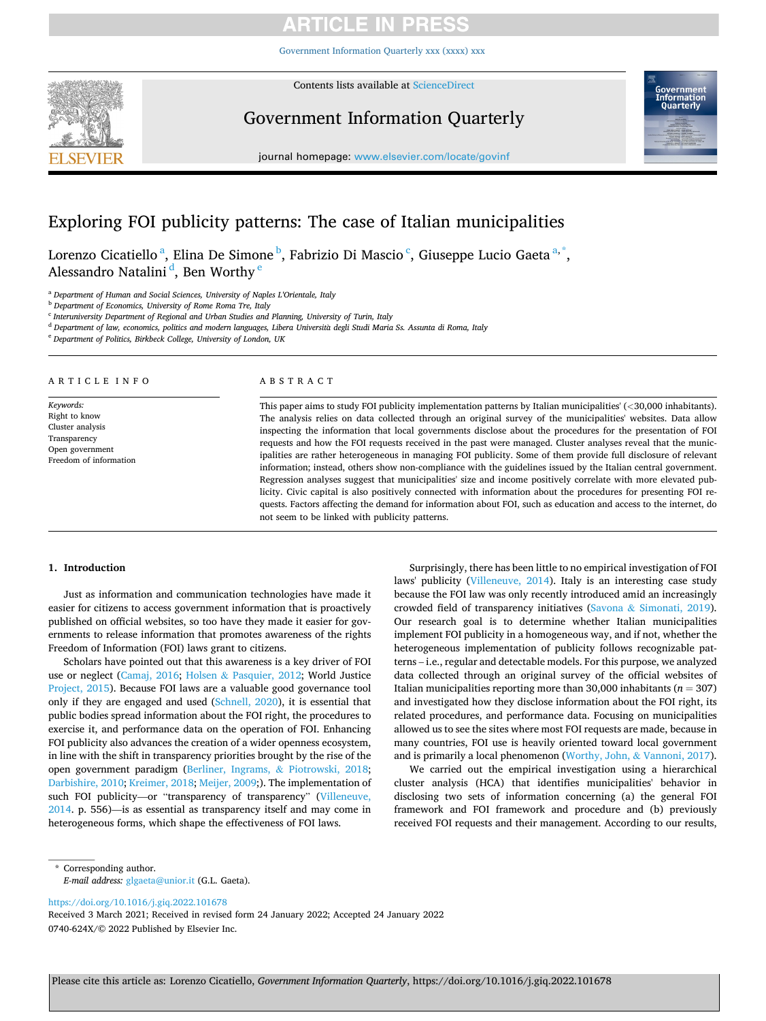[Government Information Quarterly xxx \(xxxx\) xxx](https://doi.org/10.1016/j.giq.2022.101678)



Contents lists available at [ScienceDirect](www.sciencedirect.com/science/journal/0740624X)

## Government Information Quarterly



journal homepage: [www.elsevier.com/locate/govinf](https://www.elsevier.com/locate/govinf)

## Exploring FOI publicity patterns: The case of Italian municipalities

Lorenzo Cicatiello<sup>a</sup>, Elina De Simone<sup>b</sup>, Fabrizio Di Mascio<sup>c</sup>, Giuseppe Lucio Gaeta<sup>a,\*</sup>, Alessandro Natalini<sup>d</sup>, Ben Worthy <sup>e</sup>

<sup>a</sup> *Department of Human and Social Sciences, University of Naples L'Orientale, Italy* 

<sup>b</sup> *Department of Economics, University of Rome Roma Tre, Italy* 

<sup>c</sup> *Interuniversity Department of Regional and Urban Studies and Planning, University of Turin, Italy* 

<sup>d</sup> *Department of law, economics, politics and modern languages, Libera Universita* ` *degli Studi Maria Ss. Assunta di Roma, Italy* 

<sup>e</sup> *Department of Politics, Birkbeck College, University of London, UK* 

### ARTICLE INFO

*Keywords:*  Right to know Cluster analysis Transparency Open government Freedom of information

## ABSTRACT

This paper aims to study FOI publicity implementation patterns by Italian municipalities' (*<*30,000 inhabitants). The analysis relies on data collected through an original survey of the municipalities' websites. Data allow inspecting the information that local governments disclose about the procedures for the presentation of FOI requests and how the FOI requests received in the past were managed. Cluster analyses reveal that the municipalities are rather heterogeneous in managing FOI publicity. Some of them provide full disclosure of relevant information; instead, others show non-compliance with the guidelines issued by the Italian central government. Regression analyses suggest that municipalities' size and income positively correlate with more elevated publicity. Civic capital is also positively connected with information about the procedures for presenting FOI requests. Factors affecting the demand for information about FOI, such as education and access to the internet, do not seem to be linked with publicity patterns.

### **1. Introduction**

Just as information and communication technologies have made it easier for citizens to access government information that is proactively published on official websites, so too have they made it easier for governments to release information that promotes awareness of the rights Freedom of Information (FOI) laws grant to citizens.

Scholars have pointed out that this awareness is a key driver of FOI use or neglect ([Camaj, 2016](#page-9-0); Holsen & [Pasquier, 2012](#page-10-0); World Justice [Project, 2015](#page-10-0)). Because FOI laws are a valuable good governance tool only if they are engaged and used [\(Schnell, 2020](#page-10-0)), it is essential that public bodies spread information about the FOI right, the procedures to exercise it, and performance data on the operation of FOI. Enhancing FOI publicity also advances the creation of a wider openness ecosystem, in line with the shift in transparency priorities brought by the rise of the open government paradigm [\(Berliner, Ingrams,](#page-9-0) & Piotrowski, 2018; [Darbishire, 2010](#page-9-0); [Kreimer, 2018; Meijer, 2009;](#page-10-0)). The implementation of such FOI publicity—or "transparency of transparency" ([Villeneuve,](#page-10-0)  [2014.](#page-10-0) p. 556)—is as essential as transparency itself and may come in heterogeneous forms, which shape the effectiveness of FOI laws.

Surprisingly, there has been little to no empirical investigation of FOI laws' publicity ([Villeneuve, 2014](#page-10-0)). Italy is an interesting case study because the FOI law was only recently introduced amid an increasingly crowded field of transparency initiatives (Savona & [Simonati, 2019](#page-10-0)). Our research goal is to determine whether Italian municipalities implement FOI publicity in a homogeneous way, and if not, whether the heterogeneous implementation of publicity follows recognizable patterns – i.e., regular and detectable models. For this purpose, we analyzed data collected through an original survey of the official websites of Italian municipalities reporting more than 30,000 inhabitants (*n* = 307) and investigated how they disclose information about the FOI right, its related procedures, and performance data. Focusing on municipalities allowed us to see the sites where most FOI requests are made, because in many countries, FOI use is heavily oriented toward local government and is primarily a local phenomenon [\(Worthy, John,](#page-10-0) & Vannoni, 2017).

We carried out the empirical investigation using a hierarchical cluster analysis (HCA) that identifies municipalities' behavior in disclosing two sets of information concerning (a) the general FOI framework and FOI framework and procedure and (b) previously received FOI requests and their management. According to our results,

\* Corresponding author. *E-mail address:* [glgaeta@unior.it](mailto:glgaeta@unior.it) (G.L. Gaeta).

<https://doi.org/10.1016/j.giq.2022.101678>

0740-624X/© 2022 Published by Elsevier Inc. Received 3 March 2021; Received in revised form 24 January 2022; Accepted 24 January 2022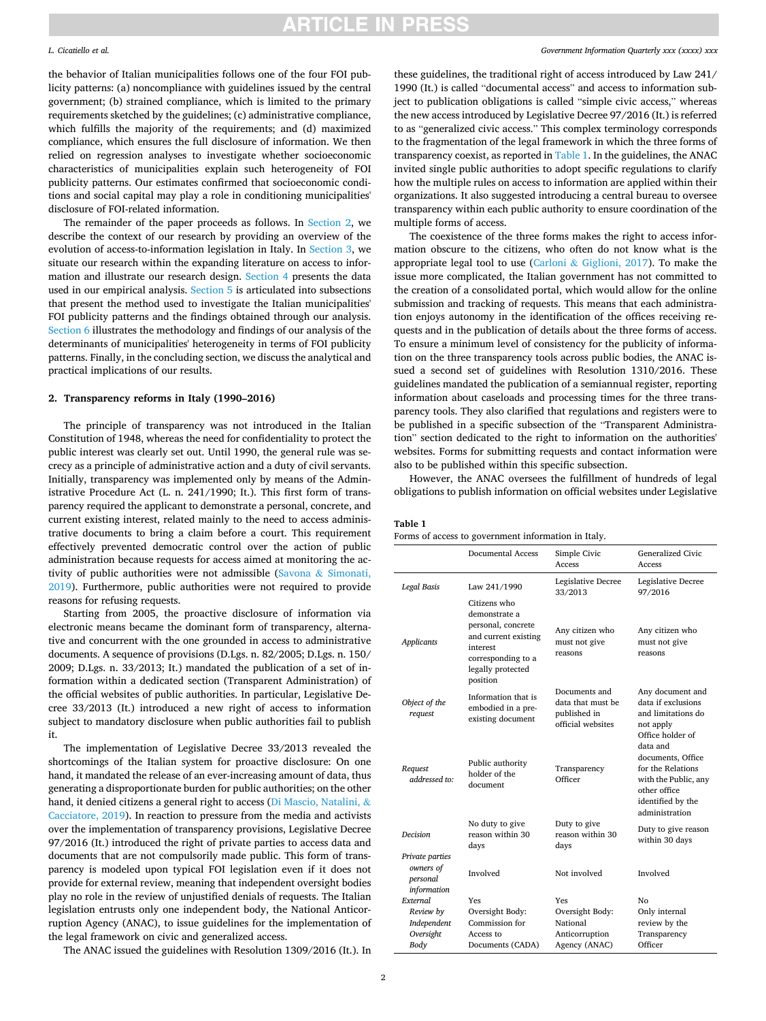### <span id="page-1-0"></span>*L. Cicatiello et al.*

the behavior of Italian municipalities follows one of the four FOI publicity patterns: (a) noncompliance with guidelines issued by the central government; (b) strained compliance, which is limited to the primary requirements sketched by the guidelines; (c) administrative compliance, which fulfills the majority of the requirements; and (d) maximized compliance, which ensures the full disclosure of information. We then relied on regression analyses to investigate whether socioeconomic characteristics of municipalities explain such heterogeneity of FOI publicity patterns. Our estimates confirmed that socioeconomic conditions and social capital may play a role in conditioning municipalities' disclosure of FOI-related information.

The remainder of the paper proceeds as follows. In Section 2, we describe the context of our research by providing an overview of the evolution of access-to-information legislation in Italy. In [Section 3,](#page-2-0) we situate our research within the expanding literature on access to information and illustrate our research design. [Section 4](#page-3-0) presents the data used in our empirical analysis. [Section 5](#page-4-0) is articulated into subsections that present the method used to investigate the Italian municipalities' FOI publicity patterns and the findings obtained through our analysis. Section 6 illustrates the methodology and findings of our analysis of the determinants of municipalities' heterogeneity in terms of FOI publicity patterns. Finally, in the concluding section, we discuss the analytical and practical implications of our results.

## **2. Transparency reforms in Italy (1990–2016)**

The principle of transparency was not introduced in the Italian Constitution of 1948, whereas the need for confidentiality to protect the public interest was clearly set out. Until 1990, the general rule was secrecy as a principle of administrative action and a duty of civil servants. Initially, transparency was implemented only by means of the Administrative Procedure Act (L. n. 241/1990; It.). This first form of transparency required the applicant to demonstrate a personal, concrete, and current existing interest, related mainly to the need to access administrative documents to bring a claim before a court. This requirement effectively prevented democratic control over the action of public administration because requests for access aimed at monitoring the activity of public authorities were not admissible (Savona & [Simonati,](#page-10-0)  [2019\)](#page-10-0). Furthermore, public authorities were not required to provide reasons for refusing requests.

Starting from 2005, the proactive disclosure of information via electronic means became the dominant form of transparency, alternative and concurrent with the one grounded in access to administrative documents. A sequence of provisions (D.Lgs. n. 82/2005; D.Lgs. n. 150/ 2009; D.Lgs. n. 33/2013; It.) mandated the publication of a set of information within a dedicated section (Transparent Administration) of the official websites of public authorities. In particular, Legislative Decree 33/2013 (It.) introduced a new right of access to information subject to mandatory disclosure when public authorities fail to publish it.

The implementation of Legislative Decree 33/2013 revealed the shortcomings of the Italian system for proactive disclosure: On one hand, it mandated the release of an ever-increasing amount of data, thus generating a disproportionate burden for public authorities; on the other hand, it denied citizens a general right to access ([Di Mascio, Natalini,](#page-9-0) & [Cacciatore, 2019](#page-9-0)). In reaction to pressure from the media and activists over the implementation of transparency provisions, Legislative Decree 97/2016 (It.) introduced the right of private parties to access data and documents that are not compulsorily made public. This form of transparency is modeled upon typical FOI legislation even if it does not provide for external review, meaning that independent oversight bodies play no role in the review of unjustified denials of requests. The Italian legislation entrusts only one independent body, the National Anticorruption Agency (ANAC), to issue guidelines for the implementation of the legal framework on civic and generalized access.

The ANAC issued the guidelines with Resolution 1309/2016 (It.). In

### *Government Information Quarterly xxx (xxxx) xxx*

these guidelines, the traditional right of access introduced by Law 241/ 1990 (It.) is called "documental access" and access to information subject to publication obligations is called "simple civic access," whereas the new access introduced by Legislative Decree 97/2016 (It.) is referred to as "generalized civic access." This complex terminology corresponds to the fragmentation of the legal framework in which the three forms of transparency coexist, as reported in Table 1. In the guidelines, the ANAC invited single public authorities to adopt specific regulations to clarify how the multiple rules on access to information are applied within their organizations. It also suggested introducing a central bureau to oversee transparency within each public authority to ensure coordination of the multiple forms of access.

The coexistence of the three forms makes the right to access information obscure to the citizens, who often do not know what is the appropriate legal tool to use (Carloni & [Giglioni, 2017](#page-9-0)). To make the issue more complicated, the Italian government has not committed to the creation of a consolidated portal, which would allow for the online submission and tracking of requests. This means that each administration enjoys autonomy in the identification of the offices receiving requests and in the publication of details about the three forms of access. To ensure a minimum level of consistency for the publicity of information on the three transparency tools across public bodies, the ANAC issued a second set of guidelines with Resolution 1310/2016. These guidelines mandated the publication of a semiannual register, reporting information about caseloads and processing times for the three transparency tools. They also clarified that regulations and registers were to be published in a specific subsection of the "Transparent Administration" section dedicated to the right to information on the authorities' websites. Forms for submitting requests and contact information were also to be published within this specific subsection.

However, the ANAC oversees the fulfillment of hundreds of legal obligations to publish information on official websites under Legislative

## **Table 1**

Forms of access to government information in Italy.

|                                                         | <b>Documental Access</b>                                                                                                                       | Simple Civic<br>Access                                                  | <b>Generalized Civic</b><br>Access                                                                                                |
|---------------------------------------------------------|------------------------------------------------------------------------------------------------------------------------------------------------|-------------------------------------------------------------------------|-----------------------------------------------------------------------------------------------------------------------------------|
| Legal Basis                                             | Law 241/1990                                                                                                                                   | Legislative Decree<br>33/2013                                           | Legislative Decree<br>97/2016                                                                                                     |
| <b>Applicants</b>                                       | Citizens who<br>demonstrate a<br>personal, concrete<br>and current existing<br>interest<br>corresponding to a<br>legally protected<br>position | Any citizen who<br>must not give<br>reasons                             | Any citizen who<br>must not give<br>reasons                                                                                       |
| Object of the<br>request                                | Information that is<br>embodied in a pre-<br>existing document                                                                                 | Documents and<br>data that must be<br>published in<br>official websites | Any document and<br>data if exclusions<br>and limitations do<br>not apply<br>Office holder of                                     |
| Request<br>addressed to:                                | Public authority<br>holder of the<br>document                                                                                                  | Transparency<br>Officer                                                 | data and<br>documents, Office<br>for the Relations<br>with the Public, any<br>other office<br>identified by the<br>administration |
| <b>Decision</b>                                         | No duty to give<br>reason within 30<br>days                                                                                                    | Duty to give<br>reason within 30<br>days                                | Duty to give reason<br>within 30 days                                                                                             |
| Private parties<br>owners of<br>personal<br>information | Involved                                                                                                                                       | Not involved                                                            | Involved                                                                                                                          |
| External                                                | Yes                                                                                                                                            | Yes                                                                     | No                                                                                                                                |
| Review by                                               | Oversight Body:                                                                                                                                | Oversight Body:                                                         | Only internal                                                                                                                     |
| Independent                                             | Commission for                                                                                                                                 | National                                                                | review by the                                                                                                                     |
| Oversight                                               | Access to                                                                                                                                      | Anticorruption                                                          | Transparency                                                                                                                      |
| Body                                                    | Documents (CADA)                                                                                                                               | Agency (ANAC)                                                           | Officer                                                                                                                           |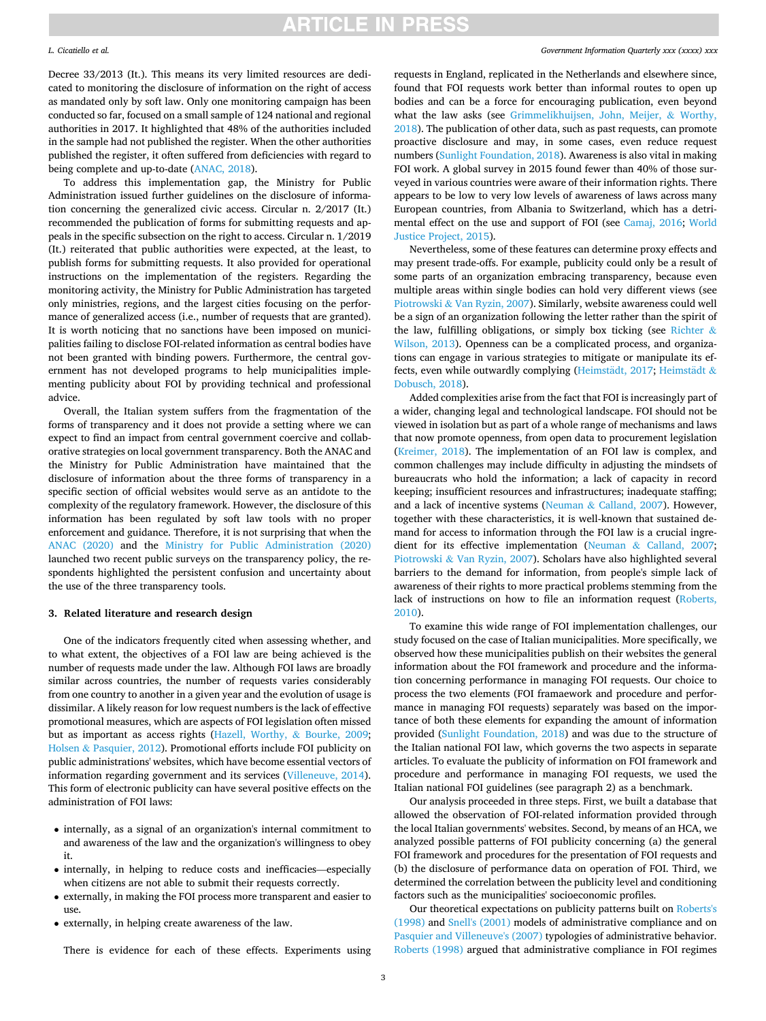### <span id="page-2-0"></span>*L. Cicatiello et al.*

Decree 33/2013 (It.). This means its very limited resources are dedicated to monitoring the disclosure of information on the right of access as mandated only by soft law. Only one monitoring campaign has been conducted so far, focused on a small sample of 124 national and regional authorities in 2017. It highlighted that 48% of the authorities included in the sample had not published the register. When the other authorities published the register, it often suffered from deficiencies with regard to being complete and up-to-date [\(ANAC, 2018](#page-10-0)).

To address this implementation gap, the Ministry for Public Administration issued further guidelines on the disclosure of information concerning the generalized civic access. Circular n. 2/2017 (It.) recommended the publication of forms for submitting requests and appeals in the specific subsection on the right to access. Circular n. 1/2019 (It.) reiterated that public authorities were expected, at the least, to publish forms for submitting requests. It also provided for operational instructions on the implementation of the registers. Regarding the monitoring activity, the Ministry for Public Administration has targeted only ministries, regions, and the largest cities focusing on the performance of generalized access (i.e., number of requests that are granted). It is worth noticing that no sanctions have been imposed on municipalities failing to disclose FOI-related information as central bodies have not been granted with binding powers. Furthermore, the central government has not developed programs to help municipalities implementing publicity about FOI by providing technical and professional advice.

Overall, the Italian system suffers from the fragmentation of the forms of transparency and it does not provide a setting where we can expect to find an impact from central government coercive and collaborative strategies on local government transparency. Both the ANAC and the Ministry for Public Administration have maintained that the disclosure of information about the three forms of transparency in a specific section of official websites would serve as an antidote to the complexity of the regulatory framework. However, the disclosure of this information has been regulated by soft law tools with no proper enforcement and guidance. Therefore, it is not surprising that when the [ANAC \(2020\)](#page-10-0) and the [Ministry for Public Administration \(2020\)](#page-10-0)  launched two recent public surveys on the transparency policy, the respondents highlighted the persistent confusion and uncertainty about the use of the three transparency tools.

### **3. Related literature and research design**

One of the indicators frequently cited when assessing whether, and to what extent, the objectives of a FOI law are being achieved is the number of requests made under the law. Although FOI laws are broadly similar across countries, the number of requests varies considerably from one country to another in a given year and the evolution of usage is dissimilar. A likely reason for low request numbers is the lack of effective promotional measures, which are aspects of FOI legislation often missed but as important as access rights ([Hazell, Worthy,](#page-10-0) & Bourke, 2009; Holsen & [Pasquier, 2012](#page-10-0)). Promotional efforts include FOI publicity on public administrations' websites, which have become essential vectors of information regarding government and its services [\(Villeneuve, 2014](#page-10-0)). This form of electronic publicity can have several positive effects on the administration of FOI laws:

- internally, as a signal of an organization's internal commitment to and awareness of the law and the organization's willingness to obey it.
- internally, in helping to reduce costs and inefficacies—especially when citizens are not able to submit their requests correctly.
- externally, in making the FOI process more transparent and easier to use.
- externally, in helping create awareness of the law.

There is evidence for each of these effects. Experiments using

### *Government Information Quarterly xxx (xxxx) xxx*

requests in England, replicated in the Netherlands and elsewhere since, found that FOI requests work better than informal routes to open up bodies and can be a force for encouraging publication, even beyond what the law asks (see [Grimmelikhuijsen, John, Meijer,](#page-9-0) & Worthy, [2018\)](#page-9-0). The publication of other data, such as past requests, can promote proactive disclosure and may, in some cases, even reduce request numbers ([Sunlight Foundation, 2018](#page-10-0)). Awareness is also vital in making FOI work. A global survey in 2015 found fewer than 40% of those surveyed in various countries were aware of their information rights. There appears to be low to very low levels of awareness of laws across many European countries, from Albania to Switzerland, which has a detrimental effect on the use and support of FOI (see [Camaj, 2016;](#page-9-0) [World](#page-10-0)  [Justice Project, 2015\)](#page-10-0).

Nevertheless, some of these features can determine proxy effects and may present trade-offs. For example, publicity could only be a result of some parts of an organization embracing transparency, because even multiple areas within single bodies can hold very different views (see Piotrowski & [Van Ryzin, 2007\)](#page-10-0). Similarly, website awareness could well be a sign of an organization following the letter rather than the spirit of the law, fulfilling obligations, or simply box ticking (see [Richter](#page-10-0)  $\&$ [Wilson, 2013\)](#page-10-0). Openness can be a complicated process, and organizations can engage in various strategies to mitigate or manipulate its effects, even while outwardly complying (Heimstädt, 2017; Heimstädt & [Dobusch, 2018](#page-10-0)).

Added complexities arise from the fact that FOI is increasingly part of a wider, changing legal and technological landscape. FOI should not be viewed in isolation but as part of a whole range of mechanisms and laws that now promote openness, from open data to procurement legislation ([Kreimer, 2018](#page-10-0)). The implementation of an FOI law is complex, and common challenges may include difficulty in adjusting the mindsets of bureaucrats who hold the information; a lack of capacity in record keeping; insufficient resources and infrastructures; inadequate staffing; and a lack of incentive systems (Neuman & [Calland, 2007\)](#page-10-0). However, together with these characteristics, it is well-known that sustained demand for access to information through the FOI law is a crucial ingredient for its effective implementation (Neuman & [Calland, 2007](#page-10-0); Piotrowski & [Van Ryzin, 2007\)](#page-10-0). Scholars have also highlighted several barriers to the demand for information, from people's simple lack of awareness of their rights to more practical problems stemming from the lack of instructions on how to file an information request ([Roberts,](#page-10-0)  [2010\)](#page-10-0).

To examine this wide range of FOI implementation challenges, our study focused on the case of Italian municipalities. More specifically, we observed how these municipalities publish on their websites the general information about the FOI framework and procedure and the information concerning performance in managing FOI requests. Our choice to process the two elements (FOI framaework and procedure and performance in managing FOI requests) separately was based on the importance of both these elements for expanding the amount of information provided ([Sunlight Foundation, 2018](#page-10-0)) and was due to the structure of the Italian national FOI law, which governs the two aspects in separate articles. To evaluate the publicity of information on FOI framework and procedure and performance in managing FOI requests, we used the Italian national FOI guidelines (see paragraph 2) as a benchmark.

Our analysis proceeded in three steps. First, we built a database that allowed the observation of FOI-related information provided through the local Italian governments' websites. Second, by means of an HCA, we analyzed possible patterns of FOI publicity concerning (a) the general FOI framework and procedures for the presentation of FOI requests and (b) the disclosure of performance data on operation of FOI. Third, we determined the correlation between the publicity level and conditioning factors such as the municipalities' socioeconomic profiles.

Our theoretical expectations on publicity patterns built on [Roberts's](#page-10-0)  [\(1998\)](#page-10-0) and [Snell's \(2001\)](#page-10-0) models of administrative compliance and on [Pasquier and Villeneuve's \(2007\)](#page-10-0) typologies of administrative behavior. [Roberts \(1998\)](#page-10-0) argued that administrative compliance in FOI regimes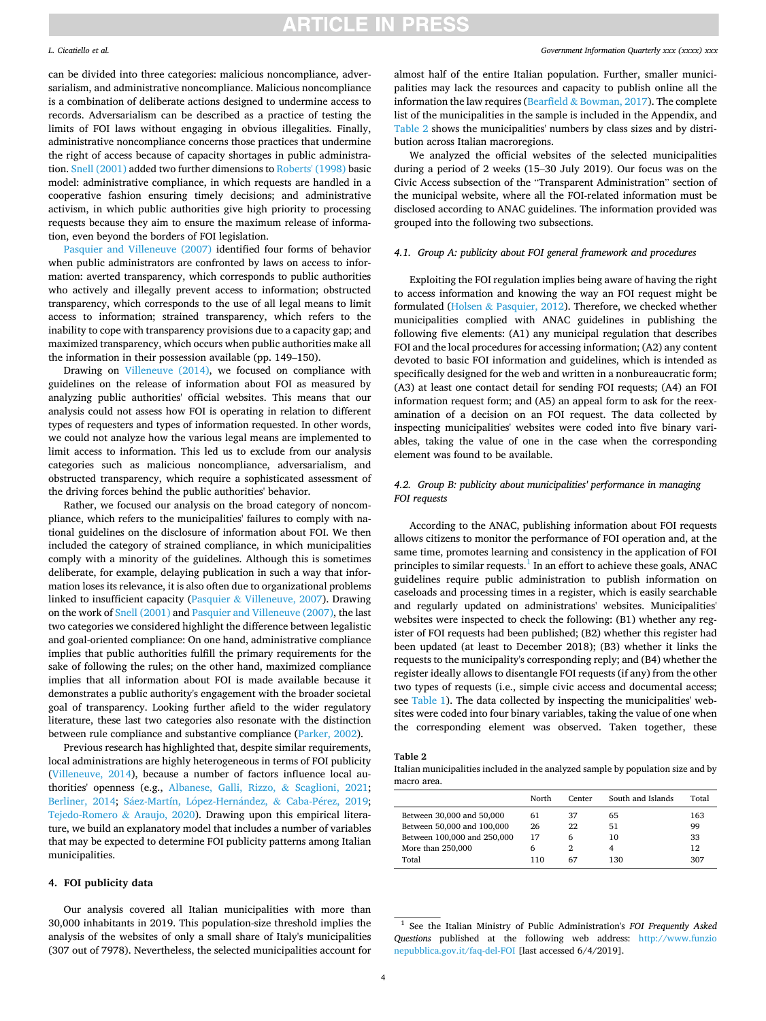### <span id="page-3-0"></span>*L. Cicatiello et al.*

can be divided into three categories: malicious noncompliance, adversarialism, and administrative noncompliance. Malicious noncompliance is a combination of deliberate actions designed to undermine access to records. Adversarialism can be described as a practice of testing the limits of FOI laws without engaging in obvious illegalities. Finally, administrative noncompliance concerns those practices that undermine the right of access because of capacity shortages in public administration. [Snell \(2001\)](#page-10-0) added two further dimensions to [Roberts' \(1998\)](#page-10-0) basic model: administrative compliance, in which requests are handled in a cooperative fashion ensuring timely decisions; and administrative activism, in which public authorities give high priority to processing requests because they aim to ensure the maximum release of information, even beyond the borders of FOI legislation.

[Pasquier and Villeneuve \(2007\)](#page-10-0) identified four forms of behavior when public administrators are confronted by laws on access to information: averted transparency, which corresponds to public authorities who actively and illegally prevent access to information; obstructed transparency, which corresponds to the use of all legal means to limit access to information; strained transparency, which refers to the inability to cope with transparency provisions due to a capacity gap; and maximized transparency, which occurs when public authorities make all the information in their possession available (pp. 149–150).

Drawing on [Villeneuve \(2014\),](#page-10-0) we focused on compliance with guidelines on the release of information about FOI as measured by analyzing public authorities' official websites. This means that our analysis could not assess how FOI is operating in relation to different types of requesters and types of information requested. In other words, we could not analyze how the various legal means are implemented to limit access to information. This led us to exclude from our analysis categories such as malicious noncompliance, adversarialism, and obstructed transparency, which require a sophisticated assessment of the driving forces behind the public authorities' behavior.

Rather, we focused our analysis on the broad category of noncompliance, which refers to the municipalities' failures to comply with national guidelines on the disclosure of information about FOI. We then included the category of strained compliance, in which municipalities comply with a minority of the guidelines. Although this is sometimes deliberate, for example, delaying publication in such a way that information loses its relevance, it is also often due to organizational problems linked to insufficient capacity (Pasquier & [Villeneuve, 2007\)](#page-10-0). Drawing on the work of [Snell \(2001\)](#page-10-0) and [Pasquier and Villeneuve \(2007\)](#page-10-0), the last two categories we considered highlight the difference between legalistic and goal-oriented compliance: On one hand, administrative compliance implies that public authorities fulfill the primary requirements for the sake of following the rules; on the other hand, maximized compliance implies that all information about FOI is made available because it demonstrates a public authority's engagement with the broader societal goal of transparency. Looking further afield to the wider regulatory literature, these last two categories also resonate with the distinction between rule compliance and substantive compliance ([Parker, 2002\)](#page-10-0).

Previous research has highlighted that, despite similar requirements, local administrations are highly heterogeneous in terms of FOI publicity ([Villeneuve, 2014](#page-10-0)), because a number of factors influence local authorities' openness (e.g., [Albanese, Galli, Rizzo,](#page-9-0) & Scaglioni, 2021; [Berliner, 2014](#page-9-0); Sáez-Martín, López-Hernández, & Caba-Pérez, 2019; [Tejedo-Romero](#page-10-0) & Araujo, 2020). Drawing upon this empirical literature, we build an explanatory model that includes a number of variables that may be expected to determine FOI publicity patterns among Italian municipalities.

## **4. FOI publicity data**

Our analysis covered all Italian municipalities with more than 30,000 inhabitants in 2019. This population-size threshold implies the analysis of the websites of only a small share of Italy's municipalities (307 out of 7978). Nevertheless, the selected municipalities account for almost half of the entire Italian population. Further, smaller municipalities may lack the resources and capacity to publish online all the information the law requires (Bearfield  $&$  [Bowman, 2017\)](#page-9-0). The complete list of the municipalities in the sample is included in the Appendix, and Table 2 shows the municipalities' numbers by class sizes and by distribution across Italian macroregions.

We analyzed the official websites of the selected municipalities during a period of 2 weeks (15–30 July 2019). Our focus was on the Civic Access subsection of the "Transparent Administration" section of the municipal website, where all the FOI-related information must be disclosed according to ANAC guidelines. The information provided was grouped into the following two subsections.

## *4.1. Group A: publicity about FOI general framework and procedures*

Exploiting the FOI regulation implies being aware of having the right to access information and knowing the way an FOI request might be formulated (Holsen & [Pasquier, 2012\)](#page-10-0). Therefore, we checked whether municipalities complied with ANAC guidelines in publishing the following five elements: (A1) any municipal regulation that describes FOI and the local procedures for accessing information; (A2) any content devoted to basic FOI information and guidelines, which is intended as specifically designed for the web and written in a nonbureaucratic form; (A3) at least one contact detail for sending FOI requests; (A4) an FOI information request form; and (A5) an appeal form to ask for the reexamination of a decision on an FOI request. The data collected by inspecting municipalities' websites were coded into five binary variables, taking the value of one in the case when the corresponding element was found to be available.

## *4.2. Group B: publicity about municipalities' performance in managing FOI requests*

According to the ANAC, publishing information about FOI requests allows citizens to monitor the performance of FOI operation and, at the same time, promotes learning and consistency in the application of FOI principles to similar requests. $<sup>1</sup>$  In an effort to achieve these goals, ANAC</sup> guidelines require public administration to publish information on caseloads and processing times in a register, which is easily searchable and regularly updated on administrations' websites. Municipalities' websites were inspected to check the following: (B1) whether any register of FOI requests had been published; (B2) whether this register had been updated (at least to December 2018); (B3) whether it links the requests to the municipality's corresponding reply; and (B4) whether the register ideally allows to disentangle FOI requests (if any) from the other two types of requests (i.e., simple civic access and documental access; see [Table 1\)](#page-1-0). The data collected by inspecting the municipalities' websites were coded into four binary variables, taking the value of one when the corresponding element was observed. Taken together, these

#### **Table 2**

Italian municipalities included in the analyzed sample by population size and by macro area.

|                             | North | Center | South and Islands | Total |
|-----------------------------|-------|--------|-------------------|-------|
| Between 30,000 and 50,000   | 61    | 37     | 65                | 163   |
| Between 50,000 and 100,000  | 26    | 22     | 51                | 99    |
| Between 100,000 and 250,000 | 17    | 6      | 10                | 33    |
| More than 250,000           | 6     |        | 4                 | 12    |
| Total                       | 110   | 67     | 130               | 307   |

<sup>1</sup> See the Italian Ministry of Public Administration's *FOI Frequently Asked Questions* published at the following web address: [http://www.funzio](http://www.funzionepubblica.gov.it/faq-del-FOI)  [nepubblica.gov.it/faq-del-FOI](http://www.funzionepubblica.gov.it/faq-del-FOI) [last accessed 6/4/2019].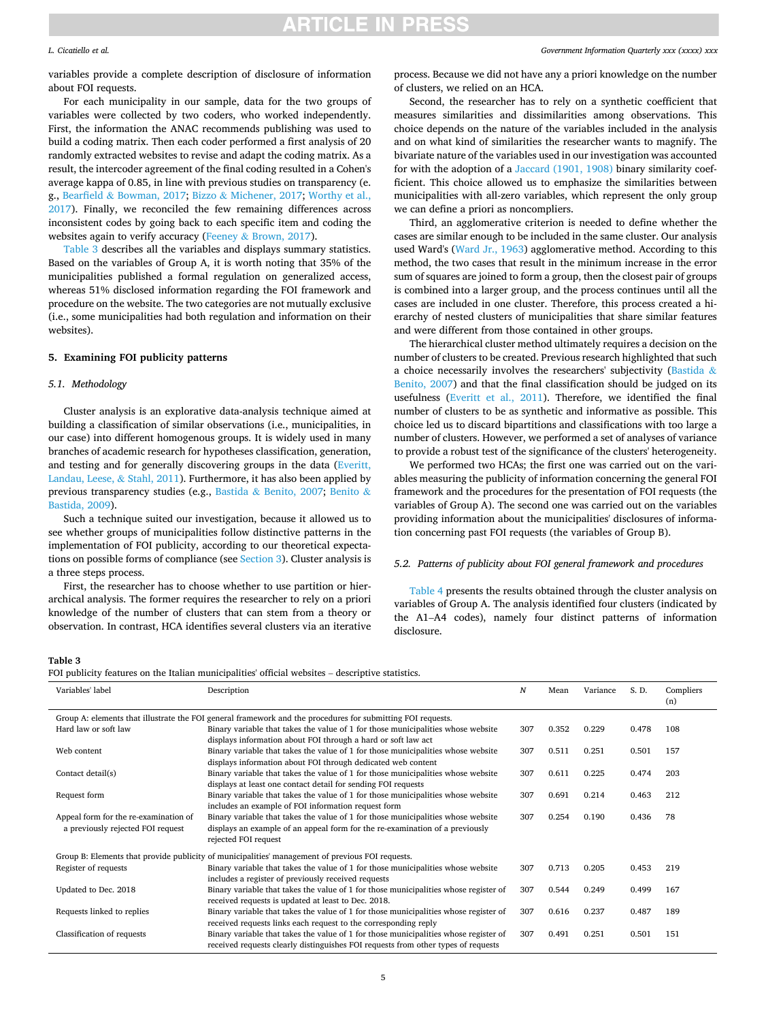### <span id="page-4-0"></span>*L. Cicatiello et al.*

variables provide a complete description of disclosure of information about FOI requests.

For each municipality in our sample, data for the two groups of variables were collected by two coders, who worked independently. First, the information the ANAC recommends publishing was used to build a coding matrix. Then each coder performed a first analysis of 20 randomly extracted websites to revise and adapt the coding matrix. As a result, the intercoder agreement of the final coding resulted in a Cohen's average kappa of 0.85, in line with previous studies on transparency (e. g., Bearfield & [Bowman, 2017;](#page-9-0) Bizzo & [Michener, 2017](#page-9-0); [Worthy et al.,](#page-10-0)  [2017\)](#page-10-0). Finally, we reconciled the few remaining differences across inconsistent codes by going back to each specific item and coding the websites again to verify accuracy (Feeney & [Brown, 2017\)](#page-9-0).

Table 3 describes all the variables and displays summary statistics. Based on the variables of Group A, it is worth noting that 35% of the municipalities published a formal regulation on generalized access, whereas 51% disclosed information regarding the FOI framework and procedure on the website. The two categories are not mutually exclusive (i.e., some municipalities had both regulation and information on their websites).

## **5. Examining FOI publicity patterns**

### *5.1. Methodology*

Cluster analysis is an explorative data-analysis technique aimed at building a classification of similar observations (i.e., municipalities, in our case) into different homogenous groups. It is widely used in many branches of academic research for hypotheses classification, generation, and testing and for generally discovering groups in the data ([Everitt,](#page-9-0)  [Landau, Leese,](#page-9-0) & Stahl, 2011). Furthermore, it has also been applied by previous transparency studies (e.g., Bastida & [Benito, 2007](#page-9-0); [Benito](#page-9-0) & [Bastida, 2009\)](#page-9-0).

Such a technique suited our investigation, because it allowed us to see whether groups of municipalities follow distinctive patterns in the implementation of FOI publicity, according to our theoretical expectations on possible forms of compliance (see [Section 3](#page-2-0)). Cluster analysis is a three steps process.

First, the researcher has to choose whether to use partition or hierarchical analysis. The former requires the researcher to rely on a priori knowledge of the number of clusters that can stem from a theory or observation. In contrast, HCA identifies several clusters via an iterative

*Government Information Quarterly xxx (xxxx) xxx*

process. Because we did not have any a priori knowledge on the number of clusters, we relied on an HCA.

Second, the researcher has to rely on a synthetic coefficient that measures similarities and dissimilarities among observations. This choice depends on the nature of the variables included in the analysis and on what kind of similarities the researcher wants to magnify. The bivariate nature of the variables used in our investigation was accounted for with the adoption of a [Jaccard \(1901, 1908\)](#page-10-0) binary similarity coefficient. This choice allowed us to emphasize the similarities between municipalities with all-zero variables, which represent the only group we can define a priori as noncompliers.

Third, an agglomerative criterion is needed to define whether the cases are similar enough to be included in the same cluster. Our analysis used Ward's [\(Ward Jr., 1963\)](#page-10-0) agglomerative method. According to this method, the two cases that result in the minimum increase in the error sum of squares are joined to form a group, then the closest pair of groups is combined into a larger group, and the process continues until all the cases are included in one cluster. Therefore, this process created a hierarchy of nested clusters of municipalities that share similar features and were different from those contained in other groups.

The hierarchical cluster method ultimately requires a decision on the number of clusters to be created. Previous research highlighted that such a choice necessarily involves the researchers' subjectivity [\(Bastida](#page-9-0) & [Benito, 2007](#page-9-0)) and that the final classification should be judged on its usefulness ([Everitt et al., 2011](#page-9-0)). Therefore, we identified the final number of clusters to be as synthetic and informative as possible. This choice led us to discard bipartitions and classifications with too large a number of clusters. However, we performed a set of analyses of variance to provide a robust test of the significance of the clusters' heterogeneity.

We performed two HCAs; the first one was carried out on the variables measuring the publicity of information concerning the general FOI framework and the procedures for the presentation of FOI requests (the variables of Group A). The second one was carried out on the variables providing information about the municipalities' disclosures of information concerning past FOI requests (the variables of Group B).

## *5.2. Patterns of publicity about FOI general framework and procedures*

[Table 4](#page-5-0) presents the results obtained through the cluster analysis on variables of Group A. The analysis identified four clusters (indicated by the A1–A4 codes), namely four distinct patterns of information disclosure.

#### **Table 3**

FOI publicity features on the Italian municipalities' official websites – descriptive statistics.

| Variables' label                                                                                            | Description                                                                                      | N   | Mean  | Variance | S. D. | Compliers<br>(n) |  |  |  |
|-------------------------------------------------------------------------------------------------------------|--------------------------------------------------------------------------------------------------|-----|-------|----------|-------|------------------|--|--|--|
| Group A: elements that illustrate the FOI general framework and the procedures for submitting FOI requests. |                                                                                                  |     |       |          |       |                  |  |  |  |
| Hard law or soft law                                                                                        | Binary variable that takes the value of 1 for those municipalities whose website                 | 307 | 0.352 | 0.229    | 0.478 | 108              |  |  |  |
|                                                                                                             | displays information about FOI through a hard or soft law act                                    |     |       |          |       |                  |  |  |  |
| Web content                                                                                                 | Binary variable that takes the value of 1 for those municipalities whose website                 | 307 | 0.511 | 0.251    | 0.501 | 157              |  |  |  |
|                                                                                                             | displays information about FOI through dedicated web content                                     |     |       |          |       |                  |  |  |  |
| Contact detail(s)                                                                                           | Binary variable that takes the value of 1 for those municipalities whose website                 | 307 | 0.611 | 0.225    | 0.474 | 203              |  |  |  |
|                                                                                                             | displays at least one contact detail for sending FOI requests                                    |     |       |          |       |                  |  |  |  |
| Request form                                                                                                | Binary variable that takes the value of 1 for those municipalities whose website                 | 307 | 0.691 | 0.214    | 0.463 | 212              |  |  |  |
|                                                                                                             | includes an example of FOI information request form                                              |     |       |          |       |                  |  |  |  |
| Appeal form for the re-examination of                                                                       | Binary variable that takes the value of 1 for those municipalities whose website                 | 307 | 0.254 | 0.190    | 0.436 | 78               |  |  |  |
| a previously rejected FOI request                                                                           | displays an example of an appeal form for the re-examination of a previously                     |     |       |          |       |                  |  |  |  |
|                                                                                                             | rejected FOI request                                                                             |     |       |          |       |                  |  |  |  |
|                                                                                                             | Group B: Elements that provide publicity of municipalities' management of previous FOI requests. |     |       |          |       |                  |  |  |  |
| Register of requests                                                                                        | Binary variable that takes the value of 1 for those municipalities whose website                 | 307 | 0.713 | 0.205    | 0.453 | 219              |  |  |  |
|                                                                                                             | includes a register of previously received requests                                              |     |       |          |       |                  |  |  |  |
| Updated to Dec. 2018                                                                                        | Binary variable that takes the value of 1 for those municipalities whose register of             | 307 | 0.544 | 0.249    | 0.499 | 167              |  |  |  |
|                                                                                                             | received requests is updated at least to Dec. 2018.                                              |     |       |          |       |                  |  |  |  |
| Requests linked to replies                                                                                  | Binary variable that takes the value of 1 for those municipalities whose register of             | 307 | 0.616 | 0.237    | 0.487 | 189              |  |  |  |
|                                                                                                             | received requests links each request to the corresponding reply                                  |     |       |          |       |                  |  |  |  |
| Classification of requests                                                                                  | Binary variable that takes the value of 1 for those municipalities whose register of             | 307 | 0.491 | 0.251    | 0.501 | 151              |  |  |  |
|                                                                                                             | received requests clearly distinguishes FOI requests from other types of requests                |     |       |          |       |                  |  |  |  |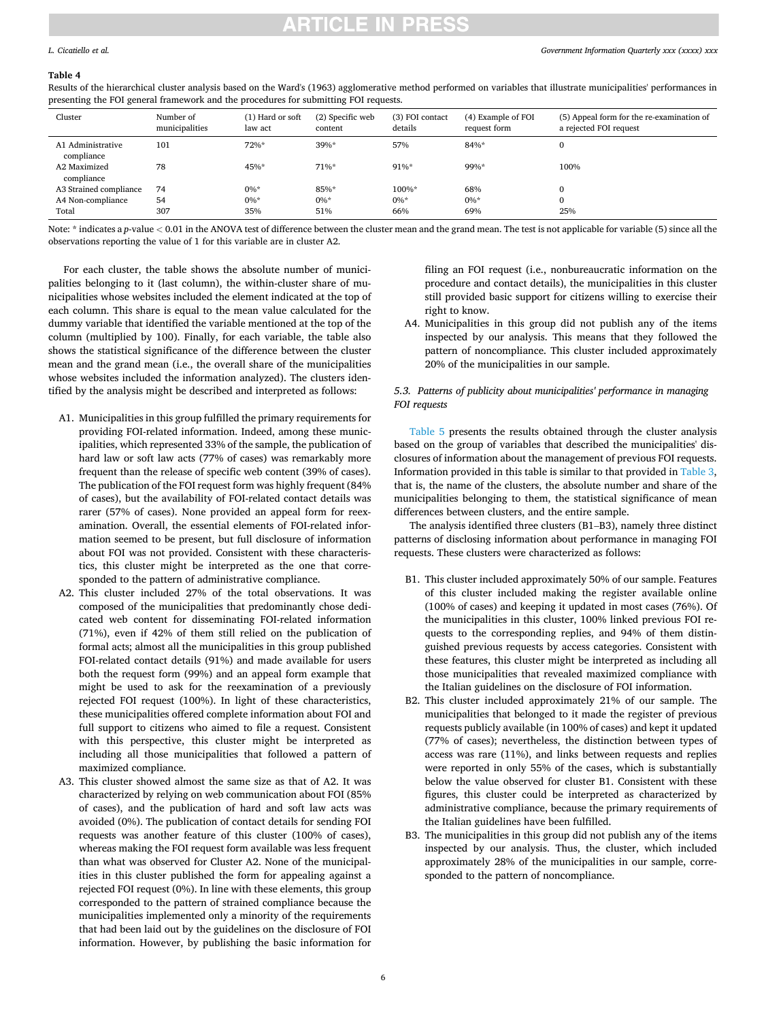### *Government Information Quarterly xxx (xxxx) xxx*

### <span id="page-5-0"></span>*L. Cicatiello et al.*

#### **Table 4**

Results of the hierarchical cluster analysis based on the Ward's (1963) agglomerative method performed on variables that illustrate municipalities' performances in presenting the FOI general framework and the procedures for submitting FOI requests.

| Cluster                         | Number of<br>municipalities | (1) Hard or soft<br>law act | (2) Specific web<br>content | (3) FOI contact<br>details | (4) Example of FOI<br>request form | (5) Appeal form for the re-examination of<br>a rejected FOI request |
|---------------------------------|-----------------------------|-----------------------------|-----------------------------|----------------------------|------------------------------------|---------------------------------------------------------------------|
| A1 Administrative<br>compliance | 101                         | 72%*                        | 39%*                        | 57%                        | 84%*                               | $\Omega$                                                            |
| A2 Maximized<br>compliance      | 78                          | 45%*                        | 71%*                        | 91%*                       | 99%*                               | 100%                                                                |
| A3 Strained compliance          | 74                          | $0\%*$                      | 85%*                        | 100%*                      | 68%                                | 0                                                                   |
| A4 Non-compliance               | 54                          | $0\%*$                      | $0\%*$                      | $0\%*$                     | $0\%$ *                            | 0                                                                   |
| Total                           | 307                         | 35%                         | 51%                         | 66%                        | 69%                                | 25%                                                                 |

Note: \* indicates a *p*-value *<* 0.01 in the ANOVA test of difference between the cluster mean and the grand mean. The test is not applicable for variable (5) since all the observations reporting the value of 1 for this variable are in cluster A2.

For each cluster, the table shows the absolute number of municipalities belonging to it (last column), the within-cluster share of municipalities whose websites included the element indicated at the top of each column. This share is equal to the mean value calculated for the dummy variable that identified the variable mentioned at the top of the column (multiplied by 100). Finally, for each variable, the table also shows the statistical significance of the difference between the cluster mean and the grand mean (i.e., the overall share of the municipalities whose websites included the information analyzed). The clusters identified by the analysis might be described and interpreted as follows:

- A1. Municipalities in this group fulfilled the primary requirements for providing FOI-related information. Indeed, among these municipalities, which represented 33% of the sample, the publication of hard law or soft law acts (77% of cases) was remarkably more frequent than the release of specific web content (39% of cases). The publication of the FOI request form was highly frequent (84% of cases), but the availability of FOI-related contact details was rarer (57% of cases). None provided an appeal form for reexamination. Overall, the essential elements of FOI-related information seemed to be present, but full disclosure of information about FOI was not provided. Consistent with these characteristics, this cluster might be interpreted as the one that corresponded to the pattern of administrative compliance.
- A2. This cluster included 27% of the total observations. It was composed of the municipalities that predominantly chose dedicated web content for disseminating FOI-related information (71%), even if 42% of them still relied on the publication of formal acts; almost all the municipalities in this group published FOI-related contact details (91%) and made available for users both the request form (99%) and an appeal form example that might be used to ask for the reexamination of a previously rejected FOI request (100%). In light of these characteristics, these municipalities offered complete information about FOI and full support to citizens who aimed to file a request. Consistent with this perspective, this cluster might be interpreted as including all those municipalities that followed a pattern of maximized compliance.
- A3. This cluster showed almost the same size as that of A2. It was characterized by relying on web communication about FOI (85% of cases), and the publication of hard and soft law acts was avoided (0%). The publication of contact details for sending FOI requests was another feature of this cluster (100% of cases), whereas making the FOI request form available was less frequent than what was observed for Cluster A2. None of the municipalities in this cluster published the form for appealing against a rejected FOI request (0%). In line with these elements, this group corresponded to the pattern of strained compliance because the municipalities implemented only a minority of the requirements that had been laid out by the guidelines on the disclosure of FOI information. However, by publishing the basic information for

filing an FOI request (i.e., nonbureaucratic information on the procedure and contact details), the municipalities in this cluster still provided basic support for citizens willing to exercise their right to know.

A4. Municipalities in this group did not publish any of the items inspected by our analysis. This means that they followed the pattern of noncompliance. This cluster included approximately 20% of the municipalities in our sample.

## *5.3. Patterns of publicity about municipalities' performance in managing FOI requests*

[Table 5](#page-6-0) presents the results obtained through the cluster analysis based on the group of variables that described the municipalities' disclosures of information about the management of previous FOI requests. Information provided in this table is similar to that provided in [Table 3](#page-4-0), that is, the name of the clusters, the absolute number and share of the municipalities belonging to them, the statistical significance of mean differences between clusters, and the entire sample.

The analysis identified three clusters (B1–B3), namely three distinct patterns of disclosing information about performance in managing FOI requests. These clusters were characterized as follows:

- B1. This cluster included approximately 50% of our sample. Features of this cluster included making the register available online (100% of cases) and keeping it updated in most cases (76%). Of the municipalities in this cluster, 100% linked previous FOI requests to the corresponding replies, and 94% of them distinguished previous requests by access categories. Consistent with these features, this cluster might be interpreted as including all those municipalities that revealed maximized compliance with the Italian guidelines on the disclosure of FOI information.
- B2. This cluster included approximately 21% of our sample. The municipalities that belonged to it made the register of previous requests publicly available (in 100% of cases) and kept it updated (77% of cases); nevertheless, the distinction between types of access was rare (11%), and links between requests and replies were reported in only 55% of the cases, which is substantially below the value observed for cluster B1. Consistent with these figures, this cluster could be interpreted as characterized by administrative compliance, because the primary requirements of the Italian guidelines have been fulfilled.
- B3. The municipalities in this group did not publish any of the items inspected by our analysis. Thus, the cluster, which included approximately 28% of the municipalities in our sample, corresponded to the pattern of noncompliance.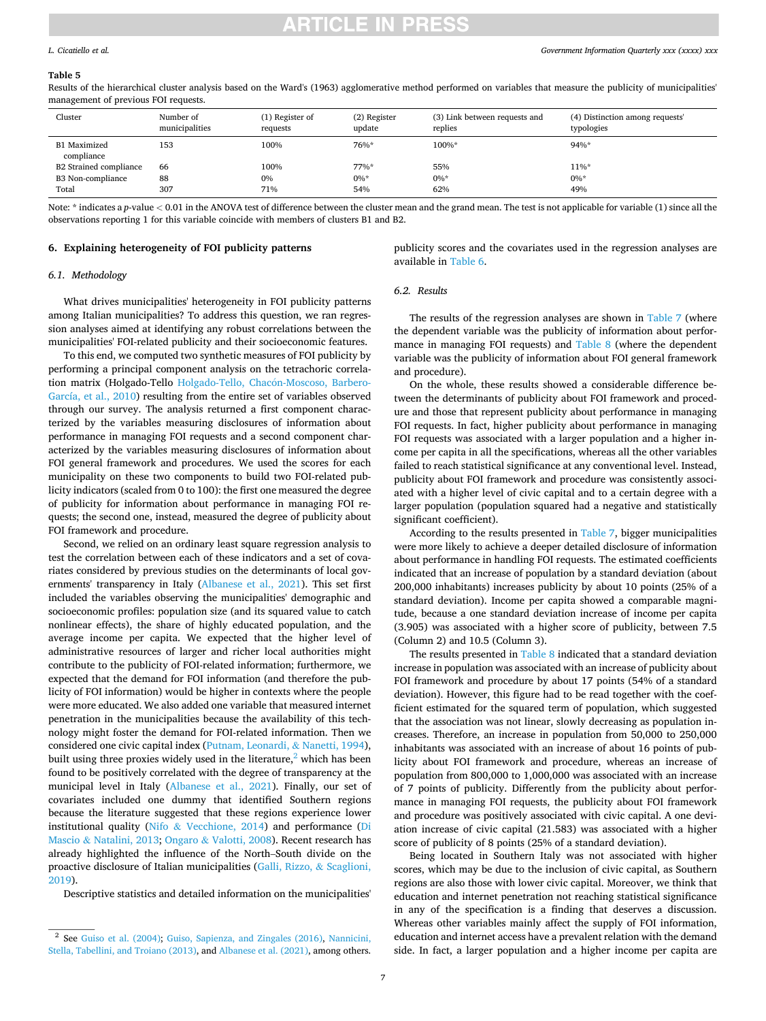### *Government Information Quarterly xxx (xxxx) xxx*

### <span id="page-6-0"></span>*L. Cicatiello et al.*

#### **Table 5**

Results of the hierarchical cluster analysis based on the Ward's (1963) agglomerative method performed on variables that measure the publicity of municipalities' management of previous FOI requests.

| Cluster                           | Number of<br>municipalities | (1) Register of<br>requests | (2) Register<br>update | (3) Link between requests and<br>replies | (4) Distinction among requests'<br>typologies |
|-----------------------------------|-----------------------------|-----------------------------|------------------------|------------------------------------------|-----------------------------------------------|
| <b>B1</b> Maximized<br>compliance | 153                         | 100%                        | 76%*                   | 100%*                                    | 94%*                                          |
| <b>B2 Strained compliance</b>     | 66                          | 100%                        | 77%*                   | 55%                                      | $11\%*$                                       |
| B3 Non-compliance                 | 88                          | 0%                          | $0\%$ *                | $0\%*$                                   | $0\%*$                                        |
| Total                             | 307                         | 71%                         | 54%                    | 62%                                      | 49%                                           |

Note: \* indicates a *p*-value < 0.01 in the ANOVA test of difference between the cluster mean and the grand mean. The test is not applicable for variable (1) since all the observations reporting 1 for this variable coincide with members of clusters B1 and B2.

### **6. Explaining heterogeneity of FOI publicity patterns**

publicity scores and the covariates used in the regression analyses are available in [Table 6.](#page-7-0)

## *6.1. Methodology*

What drives municipalities' heterogeneity in FOI publicity patterns among Italian municipalities? To address this question, we ran regression analyses aimed at identifying any robust correlations between the municipalities' FOI-related publicity and their socioeconomic features.

To this end, we computed two synthetic measures of FOI publicity by performing a principal component analysis on the tetrachoric correlation matrix (Holgado-Tello Holgado-Tello, Chacón-Moscoso, Barbero-[García, et al., 2010\)](#page-10-0) resulting from the entire set of variables observed through our survey. The analysis returned a first component characterized by the variables measuring disclosures of information about performance in managing FOI requests and a second component characterized by the variables measuring disclosures of information about FOI general framework and procedures. We used the scores for each municipality on these two components to build two FOI-related publicity indicators (scaled from 0 to 100): the first one measured the degree of publicity for information about performance in managing FOI requests; the second one, instead, measured the degree of publicity about FOI framework and procedure.

Second, we relied on an ordinary least square regression analysis to test the correlation between each of these indicators and a set of covariates considered by previous studies on the determinants of local governments' transparency in Italy ([Albanese et al., 2021](#page-9-0)). This set first included the variables observing the municipalities' demographic and socioeconomic profiles: population size (and its squared value to catch nonlinear effects), the share of highly educated population, and the average income per capita. We expected that the higher level of administrative resources of larger and richer local authorities might contribute to the publicity of FOI-related information; furthermore, we expected that the demand for FOI information (and therefore the publicity of FOI information) would be higher in contexts where the people were more educated. We also added one variable that measured internet penetration in the municipalities because the availability of this technology might foster the demand for FOI-related information. Then we considered one civic capital index ([Putnam, Leonardi,](#page-10-0) & Nanetti, 1994), built using three proxies widely used in the literature, $\frac{2}{3}$  which has been found to be positively correlated with the degree of transparency at the municipal level in Italy [\(Albanese et al., 2021\)](#page-9-0). Finally, our set of covariates included one dummy that identified Southern regions because the literature suggested that these regions experience lower institutional quality (Nifo & [Vecchione, 2014](#page-10-0)) and performance ([Di](#page-9-0)  Mascio & [Natalini, 2013;](#page-9-0) Ongaro & [Valotti, 2008](#page-10-0)). Recent research has already highlighted the influence of the North–South divide on the proactive disclosure of Italian municipalities [\(Galli, Rizzo,](#page-9-0) & Scaglioni, [2019\)](#page-9-0).

Descriptive statistics and detailed information on the municipalities'

## *6.2. Results*

The results of the regression analyses are shown in [Table 7](#page-7-0) (where the dependent variable was the publicity of information about performance in managing FOI requests) and [Table 8](#page-8-0) (where the dependent variable was the publicity of information about FOI general framework and procedure).

On the whole, these results showed a considerable difference between the determinants of publicity about FOI framework and procedure and those that represent publicity about performance in managing FOI requests. In fact, higher publicity about performance in managing FOI requests was associated with a larger population and a higher income per capita in all the specifications, whereas all the other variables failed to reach statistical significance at any conventional level. Instead, publicity about FOI framework and procedure was consistently associated with a higher level of civic capital and to a certain degree with a larger population (population squared had a negative and statistically significant coefficient).

According to the results presented in [Table 7](#page-7-0), bigger municipalities were more likely to achieve a deeper detailed disclosure of information about performance in handling FOI requests. The estimated coefficients indicated that an increase of population by a standard deviation (about 200,000 inhabitants) increases publicity by about 10 points (25% of a standard deviation). Income per capita showed a comparable magnitude, because a one standard deviation increase of income per capita (3.905) was associated with a higher score of publicity, between 7.5 (Column 2) and 10.5 (Column 3).

The results presented in [Table 8](#page-8-0) indicated that a standard deviation increase in population was associated with an increase of publicity about FOI framework and procedure by about 17 points (54% of a standard deviation). However, this figure had to be read together with the coefficient estimated for the squared term of population, which suggested that the association was not linear, slowly decreasing as population increases. Therefore, an increase in population from 50,000 to 250,000 inhabitants was associated with an increase of about 16 points of publicity about FOI framework and procedure, whereas an increase of population from 800,000 to 1,000,000 was associated with an increase of 7 points of publicity. Differently from the publicity about performance in managing FOI requests, the publicity about FOI framework and procedure was positively associated with civic capital. A one deviation increase of civic capital (21.583) was associated with a higher score of publicity of 8 points (25% of a standard deviation).

Being located in Southern Italy was not associated with higher scores, which may be due to the inclusion of civic capital, as Southern regions are also those with lower civic capital. Moreover, we think that education and internet penetration not reaching statistical significance in any of the specification is a finding that deserves a discussion. Whereas other variables mainly affect the supply of FOI information, education and internet access have a prevalent relation with the demand side. In fact, a larger population and a higher income per capita are

<sup>2</sup> See [Guiso et al. \(2004\);](#page-10-0) [Guiso, Sapienza, and Zingales \(2016\),](#page-10-0) [Nannicini,](#page-10-0)  [Stella, Tabellini, and Troiano \(2013\),](#page-10-0) and [Albanese et al. \(2021\),](#page-9-0) among others.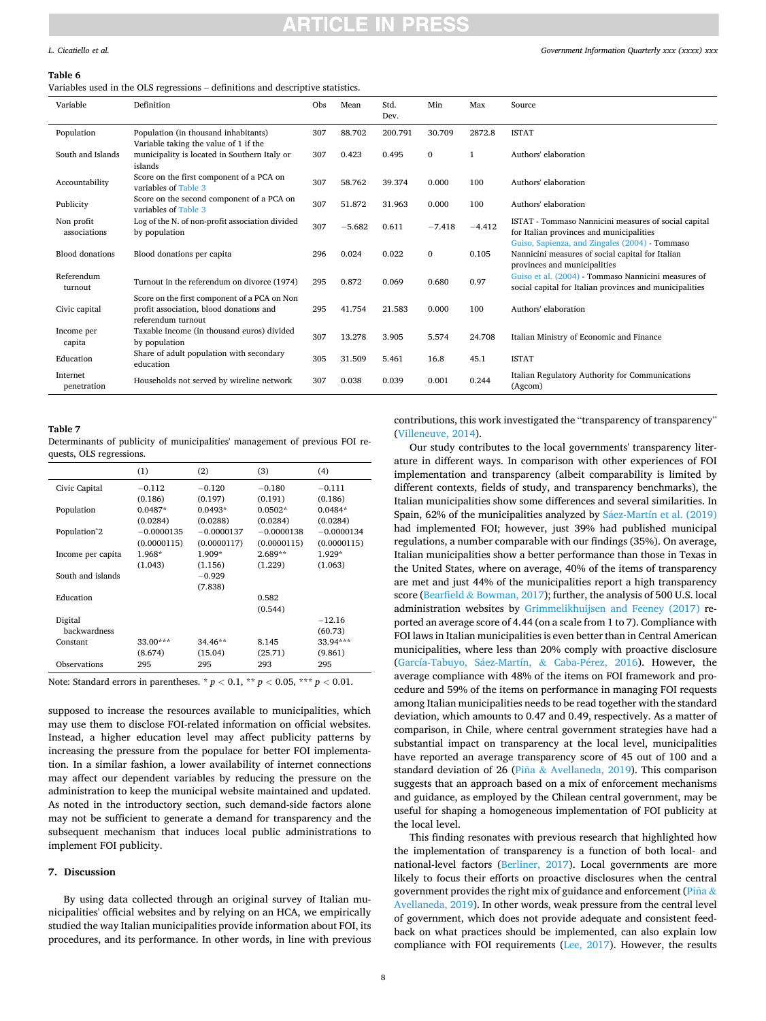# CI E IN

### <span id="page-7-0"></span>*L. Cicatiello et al.*

### **Table 6**

Variables used in the OLS regressions – definitions and descriptive statistics.

| Variable                   | Definition                                                                                                    | Obs | Mean     | Std.<br>Dev. | Min          | Max      | Source                                                                                                                                             |
|----------------------------|---------------------------------------------------------------------------------------------------------------|-----|----------|--------------|--------------|----------|----------------------------------------------------------------------------------------------------------------------------------------------------|
| Population                 | Population (in thousand inhabitants)<br>Variable taking the value of 1 if the                                 | 307 | 88.702   | 200.791      | 30.709       | 2872.8   | <b>ISTAT</b>                                                                                                                                       |
| South and Islands          | municipality is located in Southern Italy or<br>islands                                                       | 307 | 0.423    | 0.495        | $\Omega$     | 1        | Authors' elaboration                                                                                                                               |
| Accountability             | Score on the first component of a PCA on<br>variables of Table 3                                              | 307 | 58.762   | 39.374       | 0.000        | 100      | Authors' elaboration                                                                                                                               |
| Publicity                  | Score on the second component of a PCA on<br>variables of Table 3                                             | 307 | 51.872   | 31.963       | 0.000        | 100      | Authors' elaboration                                                                                                                               |
| Non profit<br>associations | Log of the N. of non-profit association divided<br>by population                                              | 307 | $-5.682$ | 0.611        | $-7.418$     | $-4.412$ | ISTAT - Tommaso Nannicini measures of social capital<br>for Italian provinces and municipalities<br>Guiso, Sapienza, and Zingales (2004) - Tommaso |
| <b>Blood donations</b>     | Blood donations per capita                                                                                    | 296 | 0.024    | 0.022        | $\mathbf{0}$ | 0.105    | Nannicini measures of social capital for Italian<br>provinces and municipalities                                                                   |
| Referendum<br>turnout      | Turnout in the referendum on divorce (1974)                                                                   | 295 | 0.872    | 0.069        | 0.680        | 0.97     | Guiso et al. (2004) - Tommaso Nannicini measures of<br>social capital for Italian provinces and municipalities                                     |
| Civic capital              | Score on the first component of a PCA on Non<br>profit association, blood donations and<br>referendum turnout | 295 | 41.754   | 21.583       | 0.000        | 100      | Authors' elaboration                                                                                                                               |
| Income per<br>capita       | Taxable income (in thousand euros) divided<br>by population                                                   | 307 | 13.278   | 3.905        | 5.574        | 24.708   | Italian Ministry of Economic and Finance                                                                                                           |
| Education                  | Share of adult population with secondary<br>education                                                         | 305 | 31.509   | 5.461        | 16.8         | 45.1     | <b>ISTAT</b>                                                                                                                                       |
| Internet<br>penetration    | Households not served by wireline network                                                                     | 307 | 0.038    | 0.039        | 0.001        | 0.244    | Italian Regulatory Authority for Communications<br>(Agcom)                                                                                         |

### **Table 7**

Determinants of publicity of municipalities' management of previous FOI requests, OLS regressions.

|                         | (1)          | (2)          | (3)          | (4)          |
|-------------------------|--------------|--------------|--------------|--------------|
| Civic Capital           | $-0.112$     | $-0.120$     | $-0.180$     | $-0.111$     |
|                         | (0.186)      | (0.197)      | (0.191)      | (0.186)      |
| Population              | $0.0487*$    | $0.0493*$    | $0.0502*$    | $0.0484*$    |
|                         | (0.0284)     | (0.0288)     | (0.0284)     | (0.0284)     |
| Population <sup>2</sup> | $-0.0000135$ | $-0.0000137$ | $-0.0000138$ | $-0.0000134$ |
|                         | (0.0000115)  | (0.0000117)  | (0.0000115)  | (0.0000115)  |
| Income per capita       | 1.968*       | $1.909*$     | $2.689**$    | $1.929*$     |
|                         | (1.043)      | (1.156)      | (1.229)      | (1.063)      |
| South and islands       |              | $-0.929$     |              |              |
|                         |              | (7.838)      |              |              |
| Education               |              |              | 0.582        |              |
|                         |              |              | (0.544)      |              |
| Digital                 |              |              |              | $-12.16$     |
| backwardness            |              |              |              | (60.73)      |
| Constant                | $33.00***$   | $34.46**$    | 8.145        | 33.94***     |
|                         | (8.674)      | (15.04)      | (25.71)      | (9.861)      |
| Observations            | 295          | 295          | 293          | 295          |

Note: Standard errors in parentheses. \* *p <* 0.1, \*\* *p <* 0.05, \*\*\* *p <* 0.01.

supposed to increase the resources available to municipalities, which may use them to disclose FOI-related information on official websites. Instead, a higher education level may affect publicity patterns by increasing the pressure from the populace for better FOI implementation. In a similar fashion, a lower availability of internet connections may affect our dependent variables by reducing the pressure on the administration to keep the municipal website maintained and updated. As noted in the introductory section, such demand-side factors alone may not be sufficient to generate a demand for transparency and the subsequent mechanism that induces local public administrations to implement FOI publicity.

### **7. Discussion**

By using data collected through an original survey of Italian municipalities' official websites and by relying on an HCA, we empirically studied the way Italian municipalities provide information about FOI, its procedures, and its performance. In other words, in line with previous

contributions, this work investigated the "transparency of transparency" ([Villeneuve, 2014\)](#page-10-0).

Our study contributes to the local governments' transparency literature in different ways. In comparison with other experiences of FOI implementation and transparency (albeit comparability is limited by different contexts, fields of study, and transparency benchmarks), the Italian municipalities show some differences and several similarities. In Spain, 62% of the municipalities analyzed by Sáez-Martín et al. (2019) had implemented FOI; however, just 39% had published municipal regulations, a number comparable with our findings (35%). On average, Italian municipalities show a better performance than those in Texas in the United States, where on average, 40% of the items of transparency are met and just 44% of the municipalities report a high transparency score (Bearfield & [Bowman, 2017](#page-9-0)); further, the analysis of 500 U.S. local administration websites by [Grimmelikhuijsen and Feeney \(2017\)](#page-10-0) reported an average score of 4.44 (on a scale from 1 to 7). Compliance with FOI laws in Italian municipalities is even better than in Central American municipalities, where less than 20% comply with proactive disclosure (García-Tabuyo, Sáez-Martín, & Caba-Pérez, 2016). However, the average compliance with 48% of the items on FOI framework and procedure and 59% of the items on performance in managing FOI requests among Italian municipalities needs to be read together with the standard deviation, which amounts to 0.47 and 0.49, respectively. As a matter of comparison, in Chile, where central government strategies have had a substantial impact on transparency at the local level, municipalities have reported an average transparency score of 45 out of 100 and a standard deviation of 26 (Piña & [Avellaneda, 2019\)](#page-10-0). This comparison suggests that an approach based on a mix of enforcement mechanisms and guidance, as employed by the Chilean central government, may be useful for shaping a homogeneous implementation of FOI publicity at the local level.

This finding resonates with previous research that highlighted how the implementation of transparency is a function of both local- and national-level factors ([Berliner, 2017](#page-9-0)). Local governments are more likely to focus their efforts on proactive disclosures when the central government provides the right mix of guidance and enforcement (Piña & [Avellaneda, 2019](#page-10-0)). In other words, weak pressure from the central level of government, which does not provide adequate and consistent feedback on what practices should be implemented, can also explain low compliance with FOI requirements ([Lee, 2017](#page-10-0)). However, the results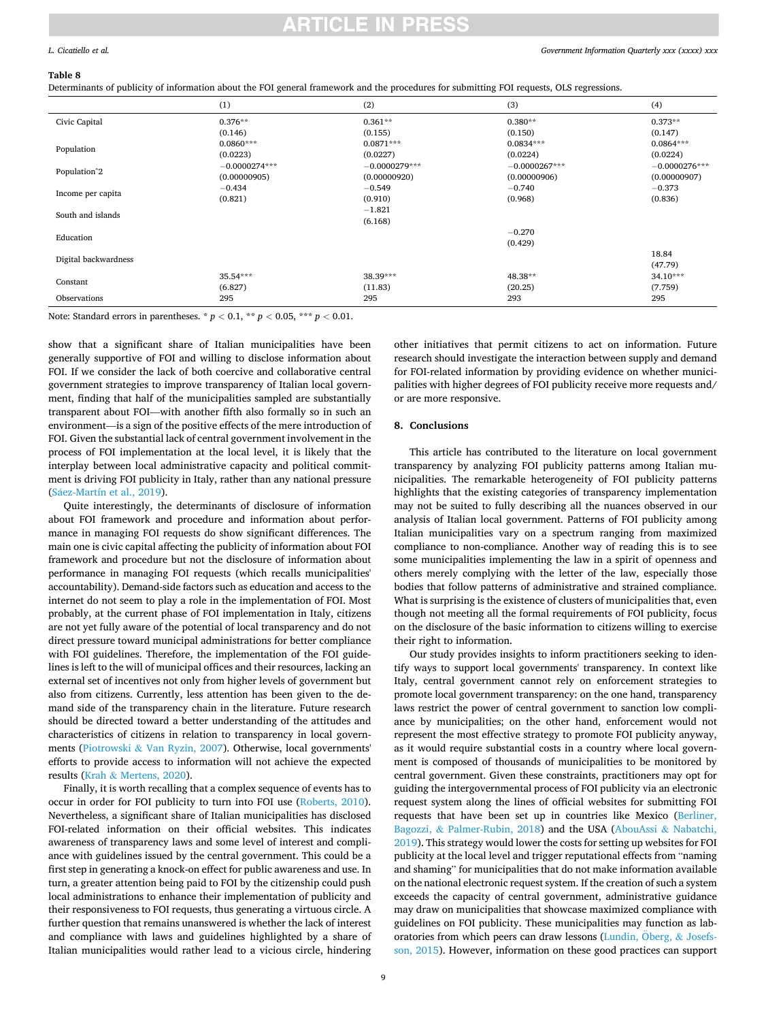### <span id="page-8-0"></span>*L. Cicatiello et al.*

### **Table 8**

Determinants of publicity of information about the FOI general framework and the procedures for submitting FOI requests, OLS regressions.

|                         | (1)             | (2)             | (3)             | (4)             |
|-------------------------|-----------------|-----------------|-----------------|-----------------|
| Civic Capital           | $0.376**$       | $0.361**$       | $0.380**$       | $0.373**$       |
|                         | (0.146)         | (0.155)         | (0.150)         | (0.147)         |
|                         | $0.0860***$     | $0.0871***$     | $0.0834***$     | $0.0864***$     |
| Population              | (0.0223)        | (0.0227)        | (0.0224)        | (0.0224)        |
|                         | $-0.0000274***$ | $-0.0000279***$ | $-0.0000267***$ | $-0.0000276***$ |
| Population <sup>2</sup> | (0.00000905)    | (0.00000920)    | (0.00000906)    | (0.00000907)    |
|                         | $-0.434$        | $-0.549$        | $-0.740$        | $-0.373$        |
| Income per capita       | (0.821)         | (0.910)         | (0.968)         | (0.836)         |
| South and islands       |                 | $-1.821$        |                 |                 |
|                         |                 | (6.168)         |                 |                 |
| Education               |                 |                 | $-0.270$        |                 |
|                         |                 |                 | (0.429)         |                 |
| Digital backwardness    |                 |                 |                 | 18.84           |
|                         |                 |                 |                 | (47.79)         |
| Constant                | 35.54***        | 38.39***        | 48.38**         | $34.10***$      |
|                         | (6.827)         | (11.83)         | (20.25)         | (7.759)         |
| Observations            | 295             | 295             | 293             | 295             |

Note: Standard errors in parentheses. \*  $p < 0.1$ , \*\*  $p < 0.05$ , \*\*\*  $p < 0.01$ .

show that a significant share of Italian municipalities have been generally supportive of FOI and willing to disclose information about FOI. If we consider the lack of both coercive and collaborative central government strategies to improve transparency of Italian local government, finding that half of the municipalities sampled are substantially transparent about FOI—with another fifth also formally so in such an environment—is a sign of the positive effects of the mere introduction of FOI. Given the substantial lack of central government involvement in the process of FOI implementation at the local level, it is likely that the interplay between local administrative capacity and political commitment is driving FOI publicity in Italy, rather than any national pressure (Sáez-Martín et al., 2019).

Quite interestingly, the determinants of disclosure of information about FOI framework and procedure and information about performance in managing FOI requests do show significant differences. The main one is civic capital affecting the publicity of information about FOI framework and procedure but not the disclosure of information about performance in managing FOI requests (which recalls municipalities' accountability). Demand-side factors such as education and access to the internet do not seem to play a role in the implementation of FOI. Most probably, at the current phase of FOI implementation in Italy, citizens are not yet fully aware of the potential of local transparency and do not direct pressure toward municipal administrations for better compliance with FOI guidelines. Therefore, the implementation of the FOI guidelines is left to the will of municipal offices and their resources, lacking an external set of incentives not only from higher levels of government but also from citizens. Currently, less attention has been given to the demand side of the transparency chain in the literature. Future research should be directed toward a better understanding of the attitudes and characteristics of citizens in relation to transparency in local governments (Piotrowski & [Van Ryzin, 2007](#page-10-0)). Otherwise, local governments' efforts to provide access to information will not achieve the expected results (Krah & [Mertens, 2020\)](#page-10-0).

Finally, it is worth recalling that a complex sequence of events has to occur in order for FOI publicity to turn into FOI use [\(Roberts, 2010](#page-10-0)). Nevertheless, a significant share of Italian municipalities has disclosed FOI-related information on their official websites. This indicates awareness of transparency laws and some level of interest and compliance with guidelines issued by the central government. This could be a first step in generating a knock-on effect for public awareness and use. In turn, a greater attention being paid to FOI by the citizenship could push local administrations to enhance their implementation of publicity and their responsiveness to FOI requests, thus generating a virtuous circle. A further question that remains unanswered is whether the lack of interest and compliance with laws and guidelines highlighted by a share of Italian municipalities would rather lead to a vicious circle, hindering

other initiatives that permit citizens to act on information. Future research should investigate the interaction between supply and demand for FOI-related information by providing evidence on whether municipalities with higher degrees of FOI publicity receive more requests and/ or are more responsive.

### **8. Conclusions**

This article has contributed to the literature on local government transparency by analyzing FOI publicity patterns among Italian municipalities. The remarkable heterogeneity of FOI publicity patterns highlights that the existing categories of transparency implementation may not be suited to fully describing all the nuances observed in our analysis of Italian local government. Patterns of FOI publicity among Italian municipalities vary on a spectrum ranging from maximized compliance to non-compliance. Another way of reading this is to see some municipalities implementing the law in a spirit of openness and others merely complying with the letter of the law, especially those bodies that follow patterns of administrative and strained compliance. What is surprising is the existence of clusters of municipalities that, even though not meeting all the formal requirements of FOI publicity, focus on the disclosure of the basic information to citizens willing to exercise their right to information.

Our study provides insights to inform practitioners seeking to identify ways to support local governments' transparency. In context like Italy, central government cannot rely on enforcement strategies to promote local government transparency: on the one hand, transparency laws restrict the power of central government to sanction low compliance by municipalities; on the other hand, enforcement would not represent the most effective strategy to promote FOI publicity anyway, as it would require substantial costs in a country where local government is composed of thousands of municipalities to be monitored by central government. Given these constraints, practitioners may opt for guiding the intergovernmental process of FOI publicity via an electronic request system along the lines of official websites for submitting FOI requests that have been set up in countries like Mexico [\(Berliner,](#page-9-0)  Bagozzi, & [Palmer-Rubin, 2018](#page-9-0)) and the USA [\(AbouAssi](#page-9-0) & Nabatchi, [2019\)](#page-9-0). This strategy would lower the costs for setting up websites for FOI publicity at the local level and trigger reputational effects from "naming and shaming" for municipalities that do not make information available on the national electronic request system. If the creation of such a system exceeds the capacity of central government, administrative guidance may draw on municipalities that showcase maximized compliance with guidelines on FOI publicity. These municipalities may function as laboratories from which peers can draw lessons (Lundin, Öberg,  $\&$  Josefs[son, 2015](#page-10-0)). However, information on these good practices can support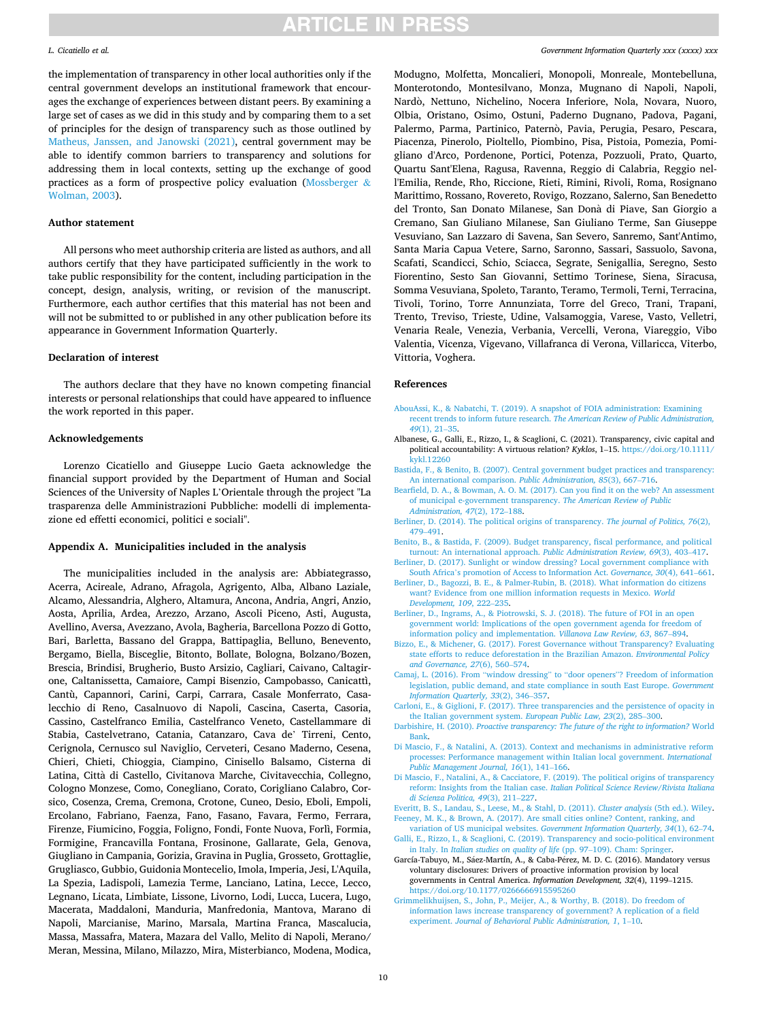### <span id="page-9-0"></span>*L. Cicatiello et al.*

the implementation of transparency in other local authorities only if the central government develops an institutional framework that encourages the exchange of experiences between distant peers. By examining a large set of cases as we did in this study and by comparing them to a set of principles for the design of transparency such as those outlined by [Matheus, Janssen, and Janowski \(2021\),](#page-10-0) central government may be able to identify common barriers to transparency and solutions for addressing them in local contexts, setting up the exchange of good practices as a form of prospective policy evaluation [\(Mossberger](#page-10-0) & [Wolman, 2003\)](#page-10-0).

### **Author statement**

All persons who meet authorship criteria are listed as authors, and all authors certify that they have participated sufficiently in the work to take public responsibility for the content, including participation in the concept, design, analysis, writing, or revision of the manuscript. Furthermore, each author certifies that this material has not been and will not be submitted to or published in any other publication before its appearance in Government Information Quarterly.

## **Declaration of interest**

The authors declare that they have no known competing financial interests or personal relationships that could have appeared to influence the work reported in this paper.

## **Acknowledgements**

Lorenzo Cicatiello and Giuseppe Lucio Gaeta acknowledge the financial support provided by the Department of Human and Social Sciences of the University of Naples L'Orientale through the project "La trasparenza delle Amministrazioni Pubbliche: modelli di implementazione ed effetti economici, politici e sociali".

### **Appendix A. Municipalities included in the analysis**

The municipalities included in the analysis are: Abbiategrasso, Acerra, Acireale, Adrano, Afragola, Agrigento, Alba, Albano Laziale, Alcamo, Alessandria, Alghero, Altamura, Ancona, Andria, Angri, Anzio, Aosta, Aprilia, Ardea, Arezzo, Arzano, Ascoli Piceno, Asti, Augusta, Avellino, Aversa, Avezzano, Avola, Bagheria, Barcellona Pozzo di Gotto, Bari, Barletta, Bassano del Grappa, Battipaglia, Belluno, Benevento, Bergamo, Biella, Bisceglie, Bitonto, Bollate, Bologna, Bolzano/Bozen, Brescia, Brindisi, Brugherio, Busto Arsizio, Cagliari, Caivano, Caltagirone, Caltanissetta, Camaiore, Campi Bisenzio, Campobasso, Canicattì, Cantù, Capannori, Carini, Carpi, Carrara, Casale Monferrato, Casalecchio di Reno, Casalnuovo di Napoli, Cascina, Caserta, Casoria, Cassino, Castelfranco Emilia, Castelfranco Veneto, Castellammare di Stabia, Castelvetrano, Catania, Catanzaro, Cava de' Tirreni, Cento, Cerignola, Cernusco sul Naviglio, Cerveteri, Cesano Maderno, Cesena, Chieri, Chieti, Chioggia, Ciampino, Cinisello Balsamo, Cisterna di Latina, Città di Castello, Civitanova Marche, Civitavecchia, Collegno, Cologno Monzese, Como, Conegliano, Corato, Corigliano Calabro, Corsico, Cosenza, Crema, Cremona, Crotone, Cuneo, Desio, Eboli, Empoli, Ercolano, Fabriano, Faenza, Fano, Fasano, Favara, Fermo, Ferrara, Firenze, Fiumicino, Foggia, Foligno, Fondi, Fonte Nuova, Forlì, Formia, Formigine, Francavilla Fontana, Frosinone, Gallarate, Gela, Genova, Giugliano in Campania, Gorizia, Gravina in Puglia, Grosseto, Grottaglie, Grugliasco, Gubbio, Guidonia Montecelio, Imola, Imperia, Jesi, L'Aquila, La Spezia, Ladispoli, Lamezia Terme, Lanciano, Latina, Lecce, Lecco, Legnano, Licata, Limbiate, Lissone, Livorno, Lodi, Lucca, Lucera, Lugo, Macerata, Maddaloni, Manduria, Manfredonia, Mantova, Marano di Napoli, Marcianise, Marino, Marsala, Martina Franca, Mascalucia, Massa, Massafra, Matera, Mazara del Vallo, Melito di Napoli, Merano/ Meran, Messina, Milano, Milazzo, Mira, Misterbianco, Modena, Modica,

### *Government Information Quarterly xxx (xxxx) xxx*

Modugno, Molfetta, Moncalieri, Monopoli, Monreale, Montebelluna, Monterotondo, Montesilvano, Monza, Mugnano di Napoli, Napoli, Nardò, Nettuno, Nichelino, Nocera Inferiore, Nola, Novara, Nuoro, Olbia, Oristano, Osimo, Ostuni, Paderno Dugnano, Padova, Pagani, Palermo, Parma, Partinico, Paternò, Pavia, Perugia, Pesaro, Pescara, Piacenza, Pinerolo, Pioltello, Piombino, Pisa, Pistoia, Pomezia, Pomigliano d'Arco, Pordenone, Portici, Potenza, Pozzuoli, Prato, Quarto, Quartu Sant'Elena, Ragusa, Ravenna, Reggio di Calabria, Reggio nell'Emilia, Rende, Rho, Riccione, Rieti, Rimini, Rivoli, Roma, Rosignano Marittimo, Rossano, Rovereto, Rovigo, Rozzano, Salerno, San Benedetto del Tronto, San Donato Milanese, San Donà di Piave, San Giorgio a Cremano, San Giuliano Milanese, San Giuliano Terme, San Giuseppe Vesuviano, San Lazzaro di Savena, San Severo, Sanremo, Sant'Antimo, Santa Maria Capua Vetere, Sarno, Saronno, Sassari, Sassuolo, Savona, Scafati, Scandicci, Schio, Sciacca, Segrate, Senigallia, Seregno, Sesto Fiorentino, Sesto San Giovanni, Settimo Torinese, Siena, Siracusa, Somma Vesuviana, Spoleto, Taranto, Teramo, Termoli, Terni, Terracina, Tivoli, Torino, Torre Annunziata, Torre del Greco, Trani, Trapani, Trento, Treviso, Trieste, Udine, Valsamoggia, Varese, Vasto, Velletri, Venaria Reale, Venezia, Verbania, Vercelli, Verona, Viareggio, Vibo Valentia, Vicenza, Vigevano, Villafranca di Verona, Villaricca, Viterbo, Vittoria, Voghera.

### **References**

- [AbouAssi, K., & Nabatchi, T. \(2019\). A snapshot of FOIA administration: Examining](http://refhub.elsevier.com/S0740-624X(22)00011-9/rf0005) recent trends to inform future research. *[The American Review of Public Administration,](http://refhub.elsevier.com/S0740-624X(22)00011-9/rf0005)  49*[\(1\), 21](http://refhub.elsevier.com/S0740-624X(22)00011-9/rf0005)–35.
- Albanese, G., Galli, E., Rizzo, I., & Scaglioni, C. (2021). Transparency, civic capital and political accountability: A virtuous relation? *Kyklos*, 1–15. [https://doi.org/10.1111/](https://doi.org/10.1111/kykl.12260)  [kykl.12260](https://doi.org/10.1111/kykl.12260)
- [Bastida, F., & Benito, B. \(2007\). Central government budget practices and transparency:](http://refhub.elsevier.com/S0740-624X(22)00011-9/rf0025)  [An international comparison.](http://refhub.elsevier.com/S0740-624X(22)00011-9/rf0025) *Public Administration, 85*(3), 667–716.
- [Bearfield, D. A., & Bowman, A. O. M. \(2017\). Can you find it on the web? An assessment](http://refhub.elsevier.com/S0740-624X(22)00011-9/rf0030)  [of municipal e-government transparency.](http://refhub.elsevier.com/S0740-624X(22)00011-9/rf0030) *The American Review of Public [Administration, 47](http://refhub.elsevier.com/S0740-624X(22)00011-9/rf0030)*(2), 172–188.
- [Berliner, D. \(2014\). The political origins of transparency.](http://refhub.elsevier.com/S0740-624X(22)00011-9/rf9065) *The journal of Politics, 76*(2), 479–[491](http://refhub.elsevier.com/S0740-624X(22)00011-9/rf9065).
- [Benito, B., & Bastida, F. \(2009\). Budget transparency, fiscal performance, and political](http://refhub.elsevier.com/S0740-624X(22)00011-9/rf0035)  [turnout: An international approach.](http://refhub.elsevier.com/S0740-624X(22)00011-9/rf0035) *Public Administration Review, 69*(3), 403–417.
- [Berliner, D. \(2017\). Sunlight or window dressing? Local government compliance with](http://refhub.elsevier.com/S0740-624X(22)00011-9/rf0040) South Africa'[s promotion of Access to Information Act.](http://refhub.elsevier.com/S0740-624X(22)00011-9/rf0040) *Governance, 30*(4), 641–661.
- [Berliner, D., Bagozzi, B. E., & Palmer-Rubin, B. \(2018\). What information do citizens](http://refhub.elsevier.com/S0740-624X(22)00011-9/rf0045) [want? Evidence from one million information requests in Mexico.](http://refhub.elsevier.com/S0740-624X(22)00011-9/rf0045) *World [Development, 109](http://refhub.elsevier.com/S0740-624X(22)00011-9/rf0045)*, 222–235.
- [Berliner, D., Ingrams, A., & Piotrowski, S. J. \(2018\). The future of FOI in an open](http://refhub.elsevier.com/S0740-624X(22)00011-9/rf0050) [government world: Implications of the open government agenda for freedom of](http://refhub.elsevier.com/S0740-624X(22)00011-9/rf0050)  [information policy and implementation.](http://refhub.elsevier.com/S0740-624X(22)00011-9/rf0050) *Villanova Law Review, 63*, 867–894.
- [Bizzo, E., & Michener, G. \(2017\). Forest Governance without Transparency? Evaluating](http://refhub.elsevier.com/S0740-624X(22)00011-9/rf9066)  [state efforts to reduce deforestation in the Brazilian Amazon.](http://refhub.elsevier.com/S0740-624X(22)00011-9/rf9066) *Environmental Policy [and Governance, 27](http://refhub.elsevier.com/S0740-624X(22)00011-9/rf9066)*(6), 560–574.
- Camaj, L. (2016). From "window dressing" to "door openers"[? Freedom of information](http://refhub.elsevier.com/S0740-624X(22)00011-9/rf0060)  [legislation, public demand, and state compliance in south East Europe.](http://refhub.elsevier.com/S0740-624X(22)00011-9/rf0060) *Government [Information Quarterly, 33](http://refhub.elsevier.com/S0740-624X(22)00011-9/rf0060)*(2), 346–357.
- [Carloni, E., & Giglioni, F. \(2017\). Three transparencies and the persistence of opacity in](http://refhub.elsevier.com/S0740-624X(22)00011-9/rf0065)  [the Italian government system.](http://refhub.elsevier.com/S0740-624X(22)00011-9/rf0065) *European Public Law, 23*(2), 285–300.
- Darbishire, H. (2010). *[Proactive transparency: The future of the right to information?](http://refhub.elsevier.com/S0740-624X(22)00011-9/rf0070)* World [Bank.](http://refhub.elsevier.com/S0740-624X(22)00011-9/rf0070)
- [Di Mascio, F., & Natalini, A. \(2013\). Context and mechanisms in administrative reform](http://refhub.elsevier.com/S0740-624X(22)00011-9/rf0075)  [processes: Performance management within Italian local government.](http://refhub.elsevier.com/S0740-624X(22)00011-9/rf0075) *International [Public Management Journal, 16](http://refhub.elsevier.com/S0740-624X(22)00011-9/rf0075)*(1), 141–166.
- [Di Mascio, F., Natalini, A., & Cacciatore, F. \(2019\). The political origins of transparency](http://refhub.elsevier.com/S0740-624X(22)00011-9/rf0080)  reform: Insights from the Italian case. *[Italian Political Science Review/Rivista Italiana](http://refhub.elsevier.com/S0740-624X(22)00011-9/rf0080)  [di Scienza Politica, 49](http://refhub.elsevier.com/S0740-624X(22)00011-9/rf0080)*(3), 211–227.
- [Everitt, B. S., Landau, S., Leese, M., & Stahl, D. \(2011\).](http://refhub.elsevier.com/S0740-624X(22)00011-9/rf0085) *Cluster analysis* (5th ed.). Wiley. [Feeney, M. K., & Brown, A. \(2017\). Are small cities online? Content, ranking, and](http://refhub.elsevier.com/S0740-624X(22)00011-9/rf0090)
- variation of US municipal websites. *[Government Information Quarterly, 34](http://refhub.elsevier.com/S0740-624X(22)00011-9/rf0090)*(1), 62–74. [Galli, E., Rizzo, I., & Scaglioni, C. \(2019\). Transparency and socio-political environment](http://refhub.elsevier.com/S0740-624X(22)00011-9/rf0095)
- in Italy. In *[Italian studies on quality of life](http://refhub.elsevier.com/S0740-624X(22)00011-9/rf0095)* (pp. 97–109). Cham: Springer. García-Tabuyo, M., Sáez-Martín, A., & Caba-Pérez, M. D. C. (2016). Mandatory versus voluntary disclosures: Drivers of proactive information provision by local governments in Central America. *Information Development, 32*(4), 1199–1215. <https://doi.org/10.1177/0266666915595260>
- [Grimmelikhuijsen, S., John, P., Meijer, A., & Worthy, B. \(2018\). Do freedom of](http://refhub.elsevier.com/S0740-624X(22)00011-9/rf0105)  [information laws increase transparency of government? A replication of a field](http://refhub.elsevier.com/S0740-624X(22)00011-9/rf0105)  experiment. *[Journal of Behavioral Public Administration, 1](http://refhub.elsevier.com/S0740-624X(22)00011-9/rf0105)*, 1–10.